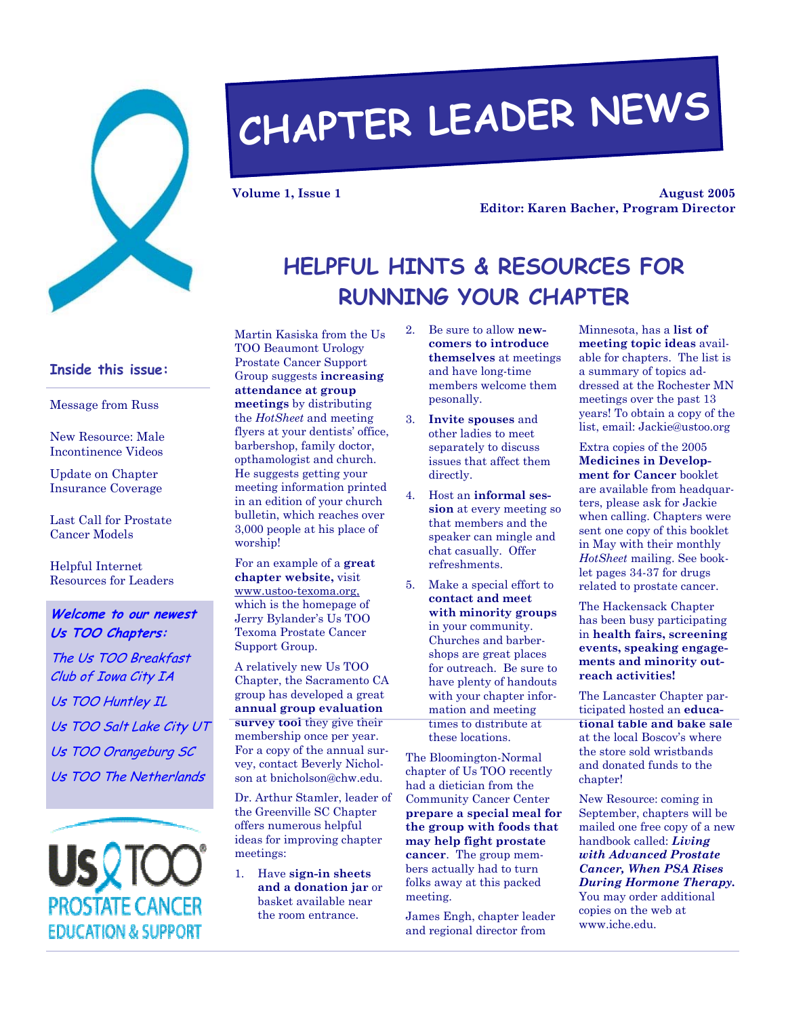

# **CHAPTER LEADER NEWS**

**Volume 1, Issue 1** 

**August 2005 Editor: Karen Bacher, Program Director** 

# **HELPFUL HINTS & RESOURCES FOR RUNNING YOUR CHAPTER**

**Inside this issue:** 

Message from Russ

New Resource: Male Incontinence Videos

Update on Chapter Insurance Coverage

Last Call for Prostate Cancer Models

Helpful Internet Resources for Leaders

#### **Welcome to our newest Us TOO Chapters:**

The Us TOO Breakfast Club of Iowa City IA Us TOO Huntley IL Us TOO Salt Lake City UT Us TOO Orangeburg SC Us TOO The Netherlands

PROSTATE CANCEF **EDUCATION & SUPPORT**  Martin Kasiska from the Us TOO Beaumont Urology Prostate Cancer Support Group suggests **increasing attendance at group meetings** by distributing the *HotSheet* and meeting flyers at your dentists' office, barbershop, family doctor, opthamologist and church. He suggests getting your meeting information printed in an edition of your church bulletin, which reaches over 3,000 people at his place of worship!

For an example of a **great chapter website,** visit www.ustoo-texoma.org, which is the homepage of Jerry Bylander's Us TOO Texoma Prostate Cancer Support Group.

A relatively new Us TOO Chapter, the Sacramento CA group has developed a great **annual group evaluation survey tool** they give their membership once per year. For a copy of the annual survey, contact Beverly Nicholson at bnicholson@chw.edu.

Dr. Arthur Stamler, leader of the Greenville SC Chapter offers numerous helpful ideas for improving chapter meetings:

1. Have **sign-in sheets and a donation jar** or basket available near the room entrance.

- 2. Be sure to allow **newcomers to introduce themselves** at meetings and have long-time members welcome them pesonally.
- 3. **Invite spouses** and other ladies to meet separately to discuss issues that affect them directly.
- 4. Host an **informal session** at every meeting so that members and the speaker can mingle and chat casually. Offer refreshments.
- 5. Make a special effort to **contact and meet with minority groups**  in your community. Churches and barbershops are great places for outreach. Be sure to have plenty of handouts with your chapter information and meeting times to distribute at these locations.

The Bloomington-Normal chapter of Us TOO recently had a dietician from the Community Cancer Center **prepare a special meal for the group with foods that may help fight prostate cancer**. The group members actually had to turn folks away at this packed meeting.

James Engh, chapter leader and regional director from

Minnesota, has a **list of meeting topic ideas** available for chapters. The list is a summary of topics addressed at the Rochester MN meetings over the past 13 years! To obtain a copy of the list, email: Jackie@ustoo.org

Extra copies of the 2005 **Medicines in Development for Cancer** booklet are available from headquarters, please ask for Jackie when calling. Chapters were sent one copy of this booklet in May with their monthly *HotSheet* mailing. See booklet pages 34-37 for drugs related to prostate cancer.

The Hackensack Chapter has been busy participating in **health fairs, screening events, speaking engagements and minority outreach activities!** 

The Lancaster Chapter participated hosted an **educational table and bake sale**  at the local Boscov's where the store sold wristbands and donated funds to the chapter!

New Resource: coming in September, chapters will be mailed one free copy of a new handbook called: *Living with Advanced Prostate Cancer, When PSA Rises During Hormone Therapy.* You may order additional copies on the web at www.iche.edu.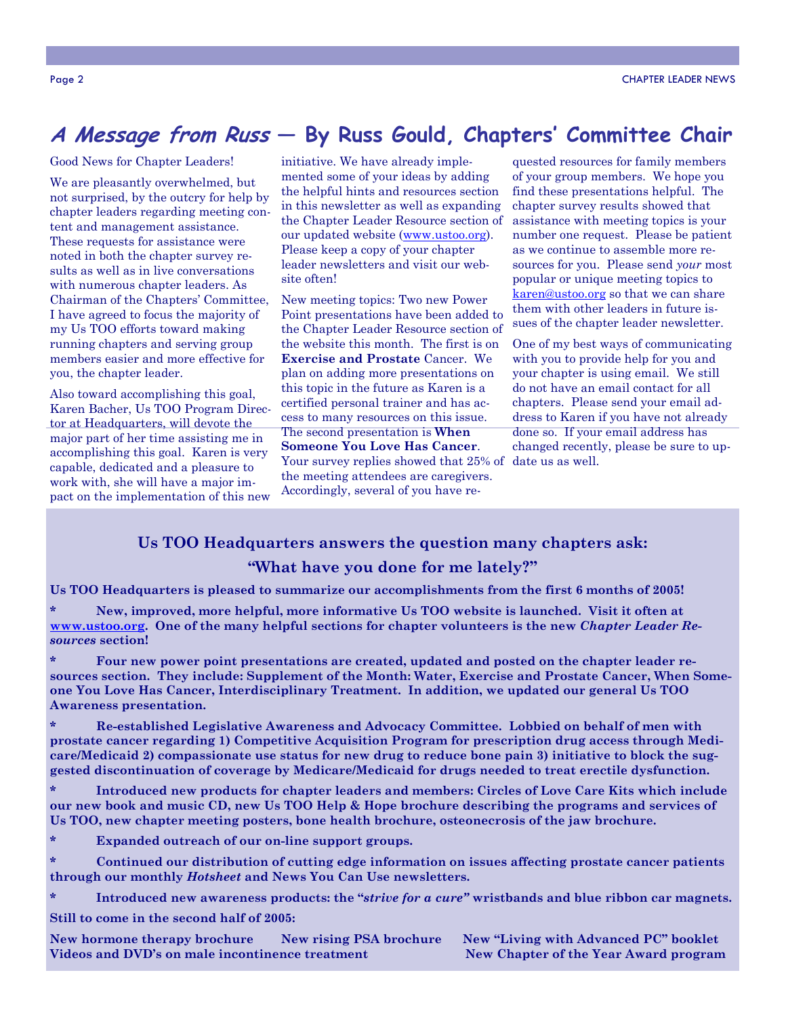## **A Message from Russ — By Russ Gould, Chapters' Committee Chair**

Good News for Chapter Leaders!

We are pleasantly overwhelmed, but not surprised, by the outcry for help by chapter leaders regarding meeting content and management assistance. These requests for assistance were noted in both the chapter survey results as well as in live conversations with numerous chapter leaders. As Chairman of the Chapters' Committee, I have agreed to focus the majority of my Us TOO efforts toward making running chapters and serving group members easier and more effective for you, the chapter leader.

Also toward accomplishing this goal, Karen Bacher, Us TOO Program Director at Headquarters, will devote the major part of her time assisting me in accomplishing this goal. Karen is very capable, dedicated and a pleasure to work with, she will have a major impact on the implementation of this new

initiative. We have already implemented some of your ideas by adding the helpful hints and resources section in this newsletter as well as expanding the Chapter Leader Resource section of our updated website (www.ustoo.org). Please keep a copy of your chapter leader newsletters and visit our website often!

New meeting topics: Two new Power Point presentations have been added to the Chapter Leader Resource section of the website this month. The first is on **Exercise and Prostate** Cancer. We plan on adding more presentations on this topic in the future as Karen is a certified personal trainer and has access to many resources on this issue. The second presentation is **When Someone You Love Has Cancer**. Your survey replies showed that 25% of date us as well. the meeting attendees are caregivers. Accordingly, several of you have re-

quested resources for family members of your group members. We hope you find these presentations helpful. The chapter survey results showed that assistance with meeting topics is your number one request. Please be patient as we continue to assemble more resources for you. Please send *your* most popular or unique meeting topics to karen@ustoo.org so that we can share them with other leaders in future issues of the chapter leader newsletter.

One of my best ways of communicating with you to provide help for you and your chapter is using email. We still do not have an email contact for all chapters. Please send your email address to Karen if you have not already done so. If your email address has changed recently, please be sure to up-

#### **Us TOO Headquarters answers the question many chapters ask:**

#### **"What have you done for me lately?"**

**Us TOO Headquarters is pleased to summarize our accomplishments from the first 6 months of 2005!** 

**\* New, improved, more helpful, more informative Us TOO website is launched. Visit it often at www.ustoo.org. One of the many helpful sections for chapter volunteers is the new** *Chapter Leader Resources* **section!** 

**\* Four new power point presentations are created, updated and posted on the chapter leader resources section. They include: Supplement of the Month: Water, Exercise and Prostate Cancer, When Someone You Love Has Cancer, Interdisciplinary Treatment. In addition, we updated our general Us TOO Awareness presentation.** 

**\* Re-established Legislative Awareness and Advocacy Committee. Lobbied on behalf of men with prostate cancer regarding 1) Competitive Acquisition Program for prescription drug access through Medicare/Medicaid 2) compassionate use status for new drug to reduce bone pain 3) initiative to block the suggested discontinuation of coverage by Medicare/Medicaid for drugs needed to treat erectile dysfunction.** 

**\* Introduced new products for chapter leaders and members: Circles of Love Care Kits which include our new book and music CD, new Us TOO Help & Hope brochure describing the programs and services of Us TOO, new chapter meeting posters, bone health brochure, osteonecrosis of the jaw brochure.** 

**\* Expanded outreach of our on-line support groups.** 

**\* Continued our distribution of cutting edge information on issues affecting prostate cancer patients through our monthly** *Hotsheet* **and News You Can Use newsletters.** 

**\* Introduced new awareness products: the "***strive for a cure"* **wristbands and blue ribbon car magnets.** 

**Still to come in the second half of 2005:** 

**New hormone therapy brochure New rising PSA brochure New "Living with Advanced PC" booklet Videos and DVD's on male incontinence treatment New Chapter of the Year Award program**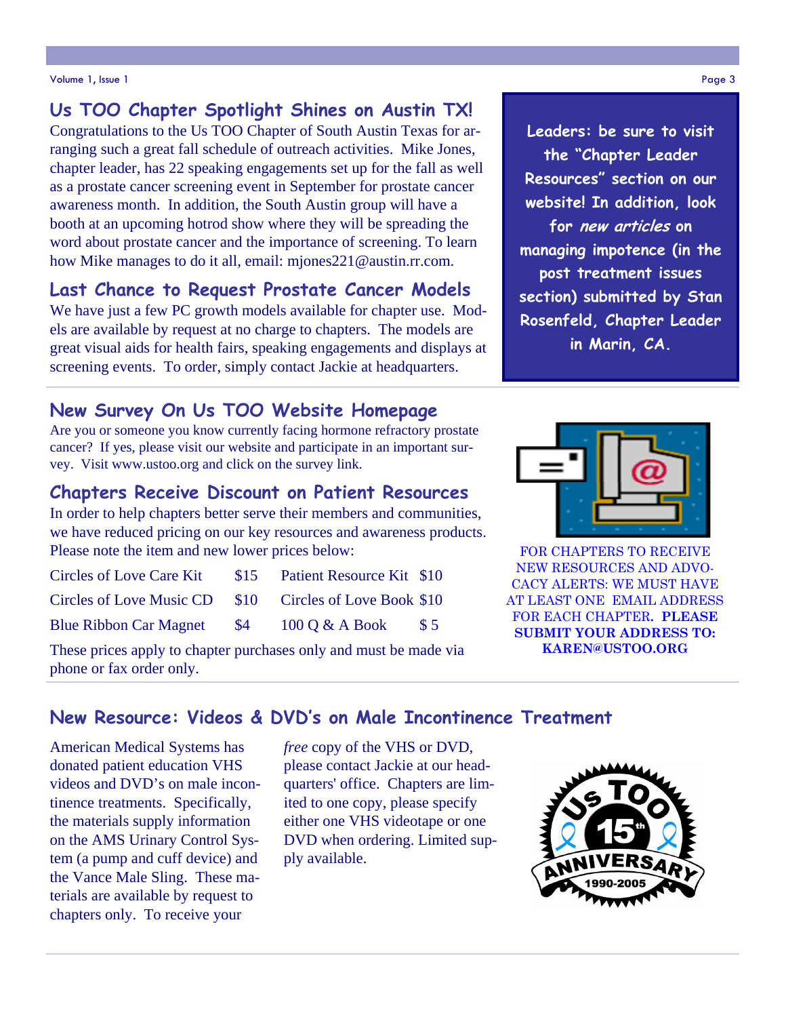#### Volume 1, Issue 1 Page 3

## **Us TOO Chapter Spotlight Shines on Austin TX!**

Congratulations to the Us TOO Chapter of South Austin Texas for arranging such a great fall schedule of outreach activities. Mike Jones, chapter leader, has 22 speaking engagements set up for the fall as well as a prostate cancer screening event in September for prostate cancer awareness month. In addition, the South Austin group will have a booth at an upcoming hotrod show where they will be spreading the word about prostate cancer and the importance of screening. To learn how Mike manages to do it all, email: mjones221@austin.rr.com.

## **Last Chance to Request Prostate Cancer Models**

We have just a few PC growth models available for chapter use. Models are available by request at no charge to chapters. The models are great visual aids for health fairs, speaking engagements and displays at screening events. To order, simply contact Jackie at headquarters.

## **New Survey On Us TOO Website Homepage**

Are you or someone you know currently facing hormone refractory prostate cancer? If yes, please visit our website and participate in an important survey. Visit www.ustoo.org and click on the survey link.

#### **Chapters Receive Discount on Patient Resources**

In order to help chapters better serve their members and communities, we have reduced pricing on our key resources and awareness products. Please note the item and new lower prices below:

| <b>Circles of Love Care Kit</b>                         | \$15 | Patient Resource Kit \$10        |            |
|---------------------------------------------------------|------|----------------------------------|------------|
| Circles of Love Music CD \$10 Circles of Love Book \$10 |      |                                  |            |
| <b>Blue Ribbon Car Magnet \$4</b>                       |      | $100 \text{ O} \& \text{A}$ Book | $\sqrt{5}$ |

These prices apply to chapter purchases only and must be made via phone or fax order only.



**Leaders: be sure to visit** 



FOR CHAPTERS TO RECEIVE NEW RESOURCES AND ADVO-CACY ALERTS: WE MUST HAVE AT LEAST ONE EMAIL ADDRESS FOR EACH CHAPTER**. PLEASE SUBMIT YOUR ADDRESS TO: KAREN@USTOO.ORG** 

## **New Resource: Videos & DVD's on Male Incontinence Treatment**

American Medical Systems has donated patient education VHS videos and DVD's on male incontinence treatments. Specifically, the materials supply information on the AMS Urinary Control System (a pump and cuff device) and the Vance Male Sling. These materials are available by request to chapters only. To receive your

*free* copy of the VHS or DVD, please contact Jackie at our headquarters' office. Chapters are limited to one copy, please specify either one VHS videotape or one DVD when ordering. Limited supply available.

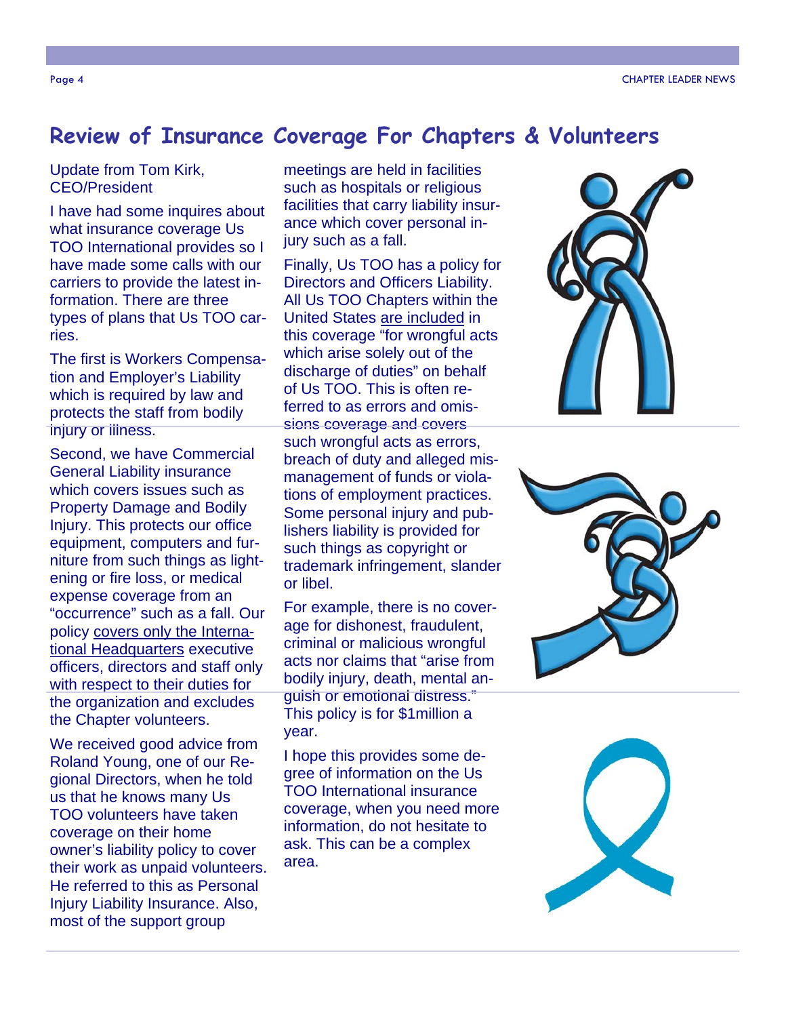## **Review of Insurance Coverage For Chapters & Volunteers**

#### Update from Tom Kirk, CEO/President

I have had some inquires about what insurance coverage Us TOO International provides so I have made some calls with our carriers to provide the latest information. There are three types of plans that Us TOO carries.

The first is Workers Compensation and Employer's Liability which is required by law and protects the staff from bodily injury or *illness*.

Second, we have Commercial General Liability insurance which covers issues such as Property Damage and Bodily Injury. This protects our office equipment, computers and furniture from such things as lightening or fire loss, or medical expense coverage from an "occurrence" such as a fall. Our policy covers only the International Headquarters executive officers, directors and staff only with respect to their duties for the organization and excludes the Chapter volunteers.

We received good advice from Roland Young, one of our Regional Directors, when he told us that he knows many Us TOO volunteers have taken coverage on their home owner's liability policy to cover their work as unpaid volunteers. He referred to this as Personal Injury Liability Insurance. Also, most of the support group

meetings are held in facilities such as hospitals or religious facilities that carry liability insurance which cover personal injury such as a fall.

Finally, Us TOO has a policy for Directors and Officers Liability. All Us TOO Chapters within the United States are included in this coverage "for wrongful acts which arise solely out of the discharge of duties" on behalf of Us TOO. This is often referred to as errors and omissions coverage and covers such wrongful acts as errors, breach of duty and alleged mismanagement of funds or violations of employment practices. Some personal injury and publishers liability is provided for such things as copyright or trademark infringement, slander or libel.

For example, there is no coverage for dishonest, fraudulent, criminal or malicious wrongful acts nor claims that "arise from bodily injury, death, mental anguish or emotional distress." This policy is for \$1million a year.

I hope this provides some degree of information on the Us TOO International insurance coverage, when you need more information, do not hesitate to ask. This can be a complex area.





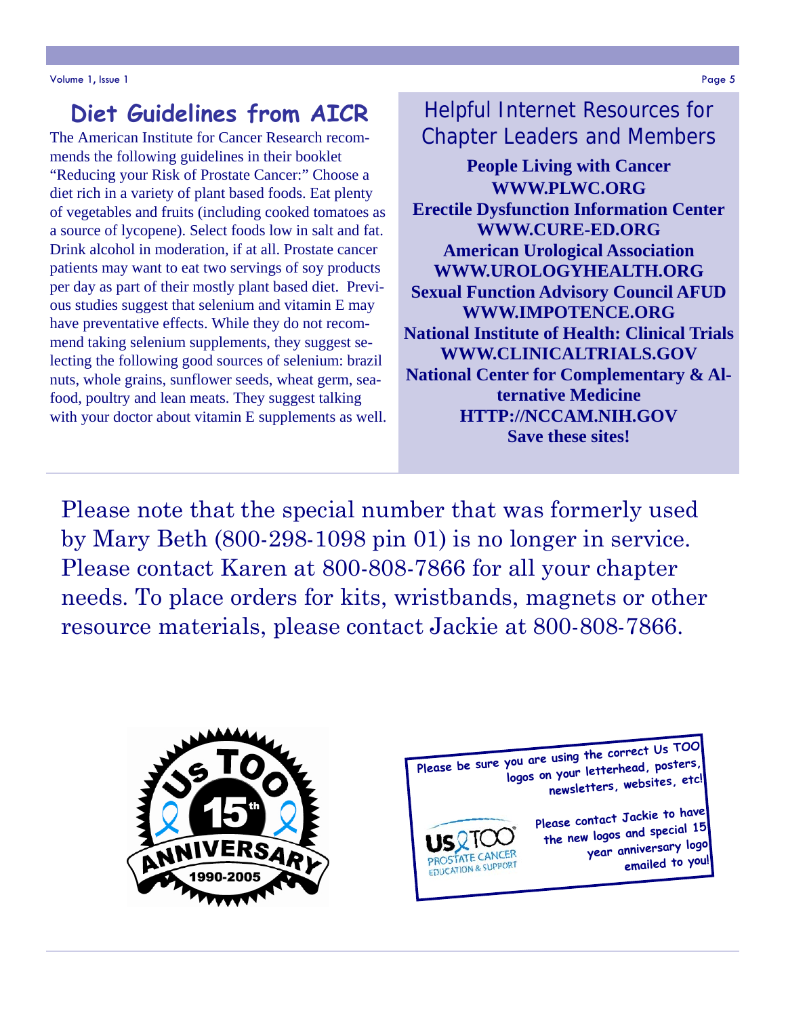# **Diet Guidelines from AICR**

The American Institute for Cancer Research recommends the following guidelines in their booklet "Reducing your Risk of Prostate Cancer:" Choose a diet rich in a variety of plant based foods. Eat plenty of vegetables and fruits (including cooked tomatoes as a source of lycopene). Select foods low in salt and fat. Drink alcohol in moderation, if at all. Prostate cancer patients may want to eat two servings of soy products per day as part of their mostly plant based diet. Previous studies suggest that selenium and vitamin E may have preventative effects. While they do not recommend taking selenium supplements, they suggest selecting the following good sources of selenium: brazil nuts, whole grains, sunflower seeds, wheat germ, seafood, poultry and lean meats. They suggest talking with your doctor about vitamin E supplements as well.

Helpful Internet Resources for Chapter Leaders and Members

**People Living with Cancer WWW.PLWC.ORG Erectile Dysfunction Information Center WWW.CURE-ED.ORG American Urological Association WWW.UROLOGYHEALTH.ORG Sexual Function Advisory Council AFUD WWW.IMPOTENCE.ORG National Institute of Health: Clinical Trials WWW.CLINICALTRIALS.GOV National Center for Complementary & Alternative Medicine HTTP://NCCAM.NIH.GOV Save these sites!** 

Please note that the special number that was formerly used by Mary Beth (800-298-1098 pin 01) is no longer in service. Please contact Karen at 800-808-7866 for all your chapter needs. To place orders for kits, wristbands, magnets or other resource materials, please contact Jackie at 800-808-7866.